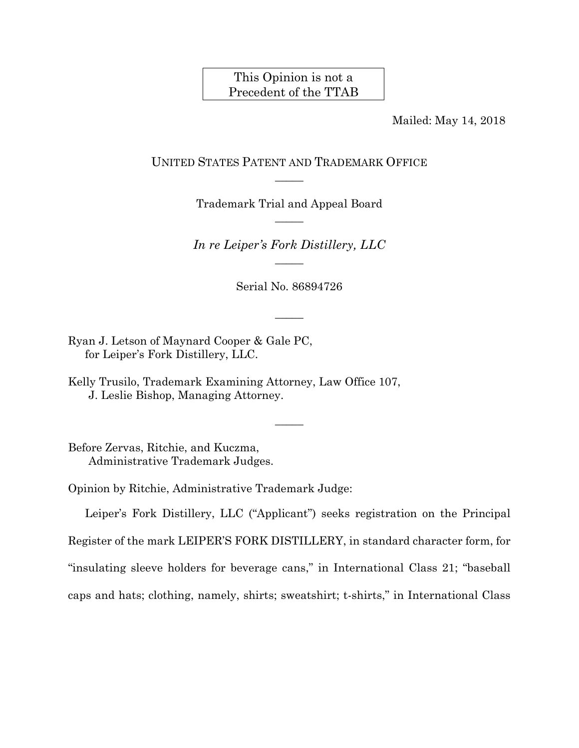## This Opinion is not a Precedent of the TTAB

Mailed: May 14, 2018

### UNITED STATES PATENT AND TRADEMARK OFFICE  $\overline{\phantom{a}}$

Trademark Trial and Appeal Board  $\overline{\phantom{a}}$ 

*In re Leiper's Fork Distillery, LLC*   $\overline{\phantom{a}}$ 

Serial No. 86894726

 $\overline{\phantom{a}}$ 

 $\overline{\phantom{a}}$ 

Ryan J. Letson of Maynard Cooper & Gale PC, for Leiper's Fork Distillery, LLC.

Kelly Trusilo, Trademark Examining Attorney, Law Office 107, J. Leslie Bishop, Managing Attorney.

Before Zervas, Ritchie, and Kuczma, Administrative Trademark Judges.

Opinion by Ritchie, Administrative Trademark Judge:

Leiper's Fork Distillery, LLC ("Applicant") seeks registration on the Principal Register of the mark LEIPER'S FORK DISTILLERY, in standard character form, for "insulating sleeve holders for beverage cans," in International Class 21; "baseball caps and hats; clothing, namely, shirts; sweatshirt; t-shirts," in International Class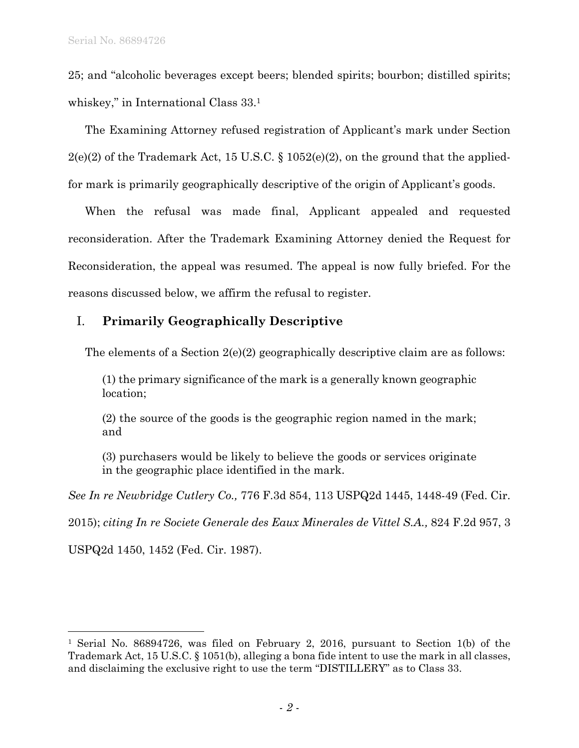25; and "alcoholic beverages except beers; blended spirits; bourbon; distilled spirits; whiskey," in International Class 33.1

The Examining Attorney refused registration of Applicant's mark under Section  $2(e)(2)$  of the Trademark Act, 15 U.S.C. § 1052(e)(2), on the ground that the appliedfor mark is primarily geographically descriptive of the origin of Applicant's goods.

When the refusal was made final, Applicant appealed and requested reconsideration. After the Trademark Examining Attorney denied the Request for Reconsideration, the appeal was resumed. The appeal is now fully briefed. For the reasons discussed below, we affirm the refusal to register.

# I. **Primarily Geographically Descriptive**

The elements of a Section 2(e)(2) geographically descriptive claim are as follows:

(1) the primary significance of the mark is a generally known geographic location;

(2) the source of the goods is the geographic region named in the mark; and

(3) purchasers would be likely to believe the goods or services originate in the geographic place identified in the mark.

*See In re Newbridge Cutlery Co.,* 776 F.3d 854, 113 USPQ2d 1445, 1448-49 (Fed. Cir.

2015); *citing In re Societe Generale des Eaux Minerales de Vittel S.A.,* 824 F.2d 957, 3

USPQ2d 1450, 1452 (Fed. Cir. 1987).

l

<sup>1</sup> Serial No. 86894726, was filed on February 2, 2016, pursuant to Section 1(b) of the Trademark Act, 15 U.S.C. § 1051(b), alleging a bona fide intent to use the mark in all classes, and disclaiming the exclusive right to use the term "DISTILLERY" as to Class 33.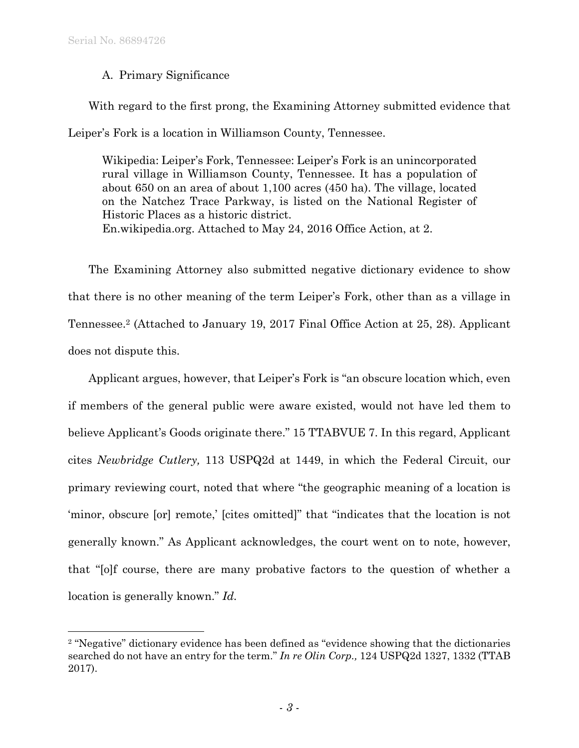l

### A. Primary Significance

With regard to the first prong, the Examining Attorney submitted evidence that Leiper's Fork is a location in Williamson County, Tennessee.

Wikipedia: Leiper's Fork, Tennessee: Leiper's Fork is an unincorporated rural village in Williamson County, Tennessee. It has a population of about 650 on an area of about 1,100 acres (450 ha). The village, located on the Natchez Trace Parkway, is listed on the National Register of Historic Places as a historic district. En.wikipedia.org. Attached to May 24, 2016 Office Action, at 2.

The Examining Attorney also submitted negative dictionary evidence to show that there is no other meaning of the term Leiper's Fork, other than as a village in Tennessee.2 (Attached to January 19, 2017 Final Office Action at 25, 28). Applicant does not dispute this.

Applicant argues, however, that Leiper's Fork is "an obscure location which, even if members of the general public were aware existed, would not have led them to believe Applicant's Goods originate there." 15 TTABVUE 7. In this regard, Applicant cites *Newbridge Cutlery,* 113 USPQ2d at 1449, in which the Federal Circuit, our primary reviewing court, noted that where "the geographic meaning of a location is 'minor, obscure [or] remote,' [cites omitted]" that "indicates that the location is not generally known." As Applicant acknowledges, the court went on to note, however, that "[o]f course, there are many probative factors to the question of whether a location is generally known." *Id.*

<sup>2 &</sup>quot;Negative" dictionary evidence has been defined as "evidence showing that the dictionaries searched do not have an entry for the term." *In re Olin Corp.,* 124 USPQ2d 1327, 1332 (TTAB 2017).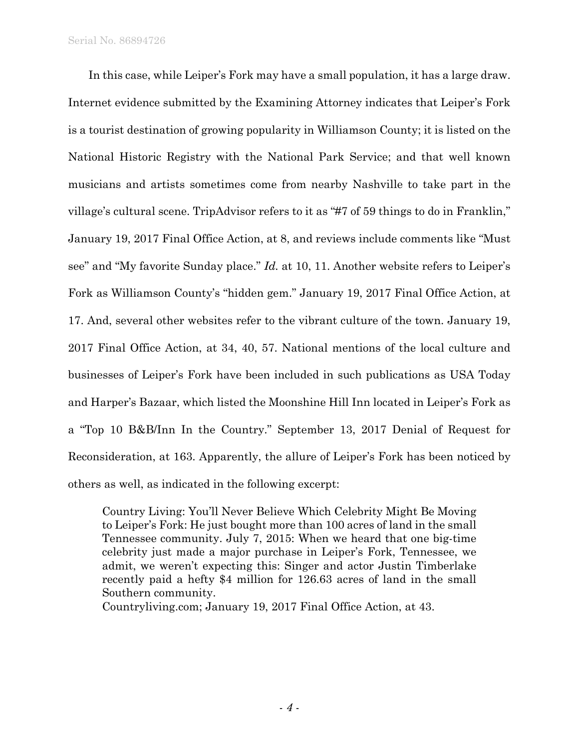In this case, while Leiper's Fork may have a small population, it has a large draw. Internet evidence submitted by the Examining Attorney indicates that Leiper's Fork is a tourist destination of growing popularity in Williamson County; it is listed on the National Historic Registry with the National Park Service; and that well known musicians and artists sometimes come from nearby Nashville to take part in the village's cultural scene. TripAdvisor refers to it as "#7 of 59 things to do in Franklin," January 19, 2017 Final Office Action, at 8, and reviews include comments like "Must see" and "My favorite Sunday place." *Id.* at 10, 11. Another website refers to Leiper's Fork as Williamson County's "hidden gem." January 19, 2017 Final Office Action, at 17. And, several other websites refer to the vibrant culture of the town. January 19, 2017 Final Office Action, at 34, 40, 57. National mentions of the local culture and businesses of Leiper's Fork have been included in such publications as USA Today and Harper's Bazaar, which listed the Moonshine Hill Inn located in Leiper's Fork as a "Top 10 B&B/Inn In the Country." September 13, 2017 Denial of Request for Reconsideration, at 163. Apparently, the allure of Leiper's Fork has been noticed by others as well, as indicated in the following excerpt:

Country Living: You'll Never Believe Which Celebrity Might Be Moving to Leiper's Fork: He just bought more than 100 acres of land in the small Tennessee community. July 7, 2015: When we heard that one big-time celebrity just made a major purchase in Leiper's Fork, Tennessee, we admit, we weren't expecting this: Singer and actor Justin Timberlake recently paid a hefty \$4 million for 126.63 acres of land in the small Southern community.

Countryliving.com; January 19, 2017 Final Office Action, at 43.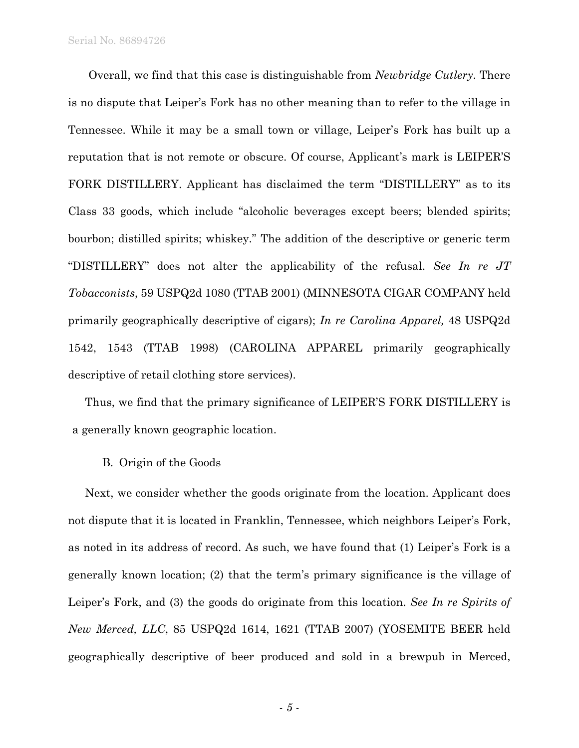Serial No. 86894726

Overall, we find that this case is distinguishable from *Newbridge Cutlery*. There is no dispute that Leiper's Fork has no other meaning than to refer to the village in Tennessee. While it may be a small town or village, Leiper's Fork has built up a reputation that is not remote or obscure. Of course, Applicant's mark is LEIPER'S FORK DISTILLERY. Applicant has disclaimed the term "DISTILLERY" as to its Class 33 goods, which include "alcoholic beverages except beers; blended spirits; bourbon; distilled spirits; whiskey." The addition of the descriptive or generic term "DISTILLERY" does not alter the applicability of the refusal. *See In re JT Tobacconists*, 59 USPQ2d 1080 (TTAB 2001) (MINNESOTA CIGAR COMPANY held primarily geographically descriptive of cigars); *In re Carolina Apparel,* 48 USPQ2d 1542, 1543 (TTAB 1998) (CAROLINA APPAREL primarily geographically descriptive of retail clothing store services).

Thus, we find that the primary significance of LEIPER'S FORK DISTILLERY is a generally known geographic location.

#### B. Origin of the Goods

Next, we consider whether the goods originate from the location. Applicant does not dispute that it is located in Franklin, Tennessee, which neighbors Leiper's Fork, as noted in its address of record. As such, we have found that (1) Leiper's Fork is a generally known location; (2) that the term's primary significance is the village of Leiper's Fork, and (3) the goods do originate from this location. *See In re Spirits of New Merced, LLC*, 85 USPQ2d 1614, 1621 (TTAB 2007) (YOSEMITE BEER held geographically descriptive of beer produced and sold in a brewpub in Merced,

- *5* -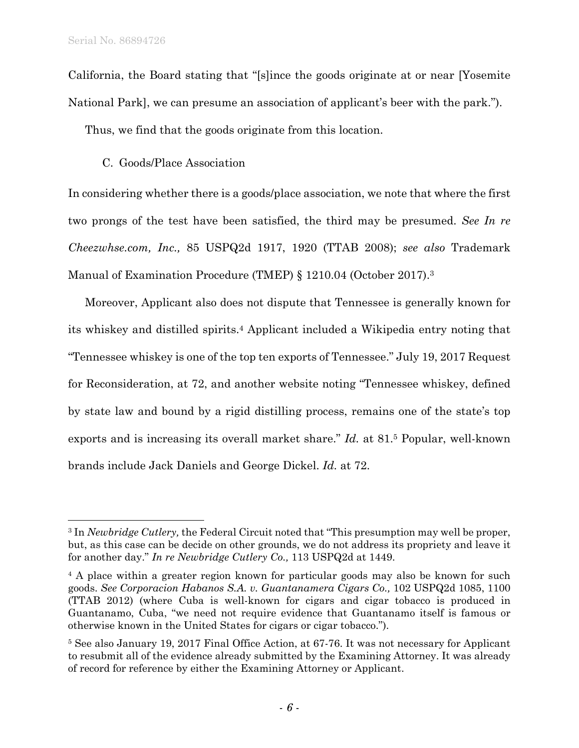$\overline{a}$ 

California, the Board stating that "[s]ince the goods originate at or near [Yosemite National Park], we can presume an association of applicant's beer with the park.").

Thus, we find that the goods originate from this location.

### C. Goods/Place Association

In considering whether there is a goods/place association, we note that where the first two prongs of the test have been satisfied, the third may be presumed. *See In re Cheezwhse.com, Inc.,* 85 USPQ2d 1917, 1920 (TTAB 2008); *see also* Trademark Manual of Examination Procedure (TMEP) § 1210.04 (October 2017).3

Moreover, Applicant also does not dispute that Tennessee is generally known for its whiskey and distilled spirits.4 Applicant included a Wikipedia entry noting that "Tennessee whiskey is one of the top ten exports of Tennessee." July 19, 2017 Request for Reconsideration, at 72, and another website noting "Tennessee whiskey, defined by state law and bound by a rigid distilling process, remains one of the state's top exports and is increasing its overall market share." *Id.* at 81.5 Popular, well-known brands include Jack Daniels and George Dickel. *Id.* at 72.

<sup>3</sup> In *Newbridge Cutlery,* the Federal Circuit noted that "This presumption may well be proper, but, as this case can be decide on other grounds, we do not address its propriety and leave it for another day." *In re Newbridge Cutlery Co.,* 113 USPQ2d at 1449.

<sup>&</sup>lt;sup>4</sup> A place within a greater region known for particular goods may also be known for such goods. *See Corporacion Habanos S.A. v. Guantanamera Cigars Co.,* 102 USPQ2d 1085, 1100 (TTAB 2012) (where Cuba is well-known for cigars and cigar tobacco is produced in Guantanamo, Cuba, "we need not require evidence that Guantanamo itself is famous or otherwise known in the United States for cigars or cigar tobacco.").

<sup>5</sup> See also January 19, 2017 Final Office Action, at 67-76. It was not necessary for Applicant to resubmit all of the evidence already submitted by the Examining Attorney. It was already of record for reference by either the Examining Attorney or Applicant.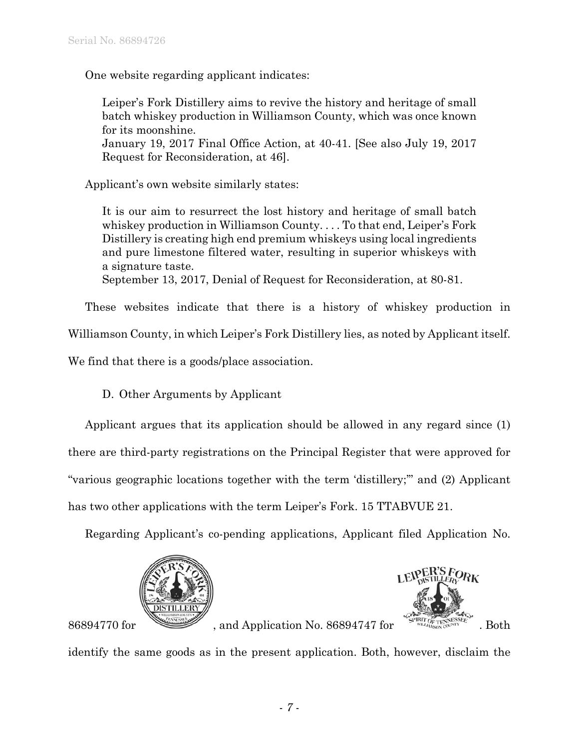One website regarding applicant indicates:

Leiper's Fork Distillery aims to revive the history and heritage of small batch whiskey production in Williamson County, which was once known for its moonshine. January 19, 2017 Final Office Action, at 40-41. [See also July 19, 2017 Request for Reconsideration, at 46].

Applicant's own website similarly states:

It is our aim to resurrect the lost history and heritage of small batch whiskey production in Williamson County. . . . To that end, Leiper's Fork Distillery is creating high end premium whiskeys using local ingredients and pure limestone filtered water, resulting in superior whiskeys with a signature taste. September 13, 2017, Denial of Request for Reconsideration, at 80-81.

These websites indicate that there is a history of whiskey production in

Williamson County, in which Leiper's Fork Distillery lies, as noted by Applicant itself.

We find that there is a goods/place association.

D. Other Arguments by Applicant

Applicant argues that its application should be allowed in any regard since (1) there are third-party registrations on the Principal Register that were approved for "various geographic locations together with the term 'distillery;'" and (2) Applicant has two other applications with the term Leiper's Fork. 15 TTABVUE 21.

Regarding Applicant's co-pending applications, Applicant filed Application No.





86894770 for , and Application No. 86894747 for . Both

identify the same goods as in the present application. Both, however, disclaim the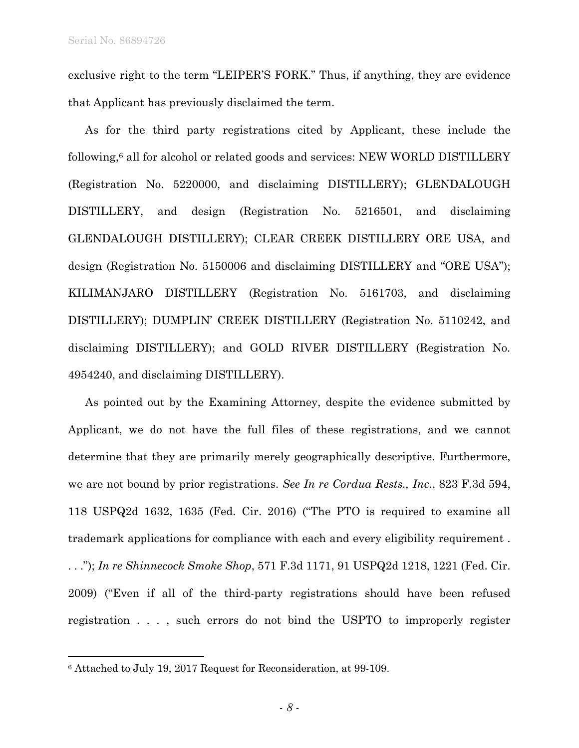exclusive right to the term "LEIPER'S FORK." Thus, if anything, they are evidence that Applicant has previously disclaimed the term.

As for the third party registrations cited by Applicant, these include the following,6 all for alcohol or related goods and services: NEW WORLD DISTILLERY (Registration No. 5220000, and disclaiming DISTILLERY); GLENDALOUGH DISTILLERY, and design (Registration No. 5216501, and disclaiming GLENDALOUGH DISTILLERY); CLEAR CREEK DISTILLERY ORE USA, and design (Registration No. 5150006 and disclaiming DISTILLERY and "ORE USA"); KILIMANJARO DISTILLERY (Registration No. 5161703, and disclaiming DISTILLERY); DUMPLIN' CREEK DISTILLERY (Registration No. 5110242, and disclaiming DISTILLERY); and GOLD RIVER DISTILLERY (Registration No. 4954240, and disclaiming DISTILLERY).

As pointed out by the Examining Attorney, despite the evidence submitted by Applicant, we do not have the full files of these registrations, and we cannot determine that they are primarily merely geographically descriptive. Furthermore, we are not bound by prior registrations. *See In re Cordua Rests., Inc.*, 823 F.3d 594, 118 USPQ2d 1632, 1635 (Fed. Cir. 2016) ("The PTO is required to examine all trademark applications for compliance with each and every eligibility requirement . . . ."); *In re Shinnecock Smoke Shop*, 571 F.3d 1171, 91 USPQ2d 1218, 1221 (Fed. Cir. 2009) ("Even if all of the third-party registrations should have been refused registration . . . , such errors do not bind the USPTO to improperly register

 $\overline{a}$ 

<sup>6</sup> Attached to July 19, 2017 Request for Reconsideration, at 99-109.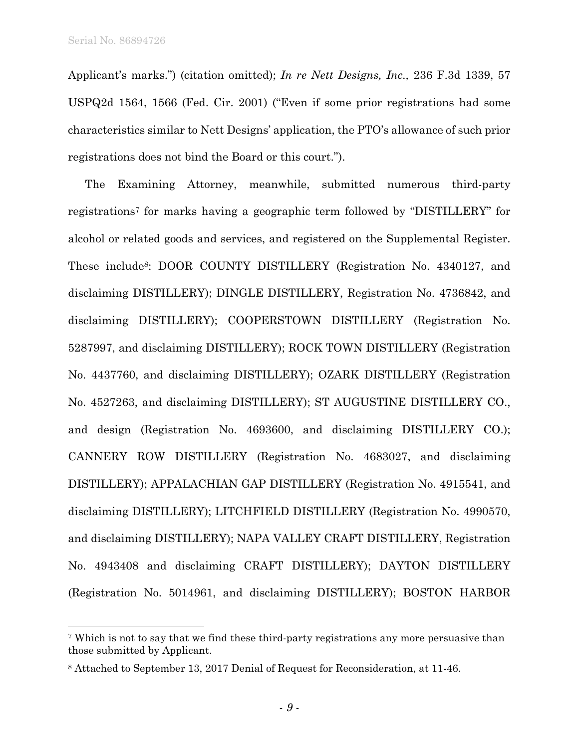l

Applicant's marks.") (citation omitted); *In re Nett Designs, Inc.,* 236 F.3d 1339, 57 USPQ2d 1564, 1566 (Fed. Cir. 2001) ("Even if some prior registrations had some characteristics similar to Nett Designs' application, the PTO's allowance of such prior registrations does not bind the Board or this court.").

The Examining Attorney, meanwhile, submitted numerous third-party registrations7 for marks having a geographic term followed by "DISTILLERY" for alcohol or related goods and services, and registered on the Supplemental Register. These include8: DOOR COUNTY DISTILLERY (Registration No. 4340127, and disclaiming DISTILLERY); DINGLE DISTILLERY, Registration No. 4736842, and disclaiming DISTILLERY); COOPERSTOWN DISTILLERY (Registration No. 5287997, and disclaiming DISTILLERY); ROCK TOWN DISTILLERY (Registration No. 4437760, and disclaiming DISTILLERY); OZARK DISTILLERY (Registration No. 4527263, and disclaiming DISTILLERY); ST AUGUSTINE DISTILLERY CO., and design (Registration No. 4693600, and disclaiming DISTILLERY CO.); CANNERY ROW DISTILLERY (Registration No. 4683027, and disclaiming DISTILLERY); APPALACHIAN GAP DISTILLERY (Registration No. 4915541, and disclaiming DISTILLERY); LITCHFIELD DISTILLERY (Registration No. 4990570, and disclaiming DISTILLERY); NAPA VALLEY CRAFT DISTILLERY, Registration No. 4943408 and disclaiming CRAFT DISTILLERY); DAYTON DISTILLERY (Registration No. 5014961, and disclaiming DISTILLERY); BOSTON HARBOR

<sup>7</sup> Which is not to say that we find these third-party registrations any more persuasive than those submitted by Applicant.

<sup>8</sup> Attached to September 13, 2017 Denial of Request for Reconsideration, at 11-46.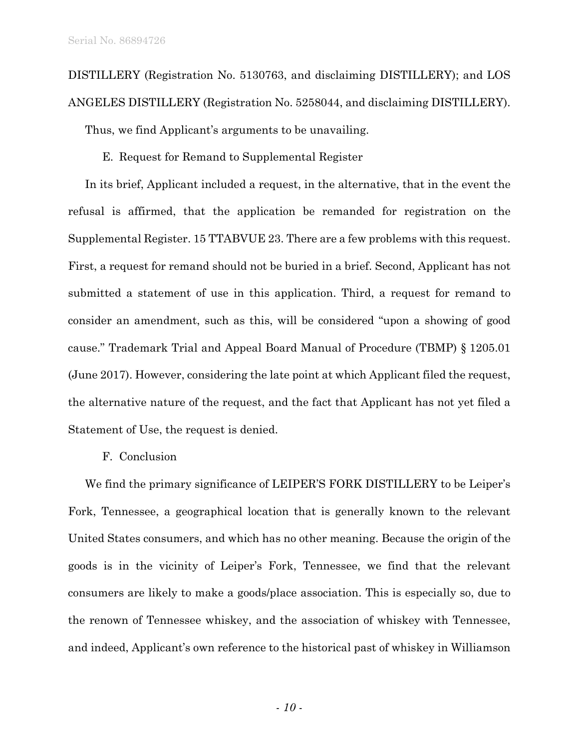DISTILLERY (Registration No. 5130763, and disclaiming DISTILLERY); and LOS ANGELES DISTILLERY (Registration No. 5258044, and disclaiming DISTILLERY).

Thus, we find Applicant's arguments to be unavailing.

E. Request for Remand to Supplemental Register

In its brief, Applicant included a request, in the alternative, that in the event the refusal is affirmed, that the application be remanded for registration on the Supplemental Register. 15 TTABVUE 23. There are a few problems with this request. First, a request for remand should not be buried in a brief. Second, Applicant has not submitted a statement of use in this application. Third, a request for remand to consider an amendment, such as this, will be considered "upon a showing of good cause." Trademark Trial and Appeal Board Manual of Procedure (TBMP) § 1205.01 (June 2017). However, considering the late point at which Applicant filed the request, the alternative nature of the request, and the fact that Applicant has not yet filed a Statement of Use, the request is denied.

#### F. Conclusion

We find the primary significance of LEIPER'S FORK DISTILLERY to be Leiper's Fork, Tennessee, a geographical location that is generally known to the relevant United States consumers, and which has no other meaning. Because the origin of the goods is in the vicinity of Leiper's Fork, Tennessee, we find that the relevant consumers are likely to make a goods/place association. This is especially so, due to the renown of Tennessee whiskey, and the association of whiskey with Tennessee, and indeed, Applicant's own reference to the historical past of whiskey in Williamson